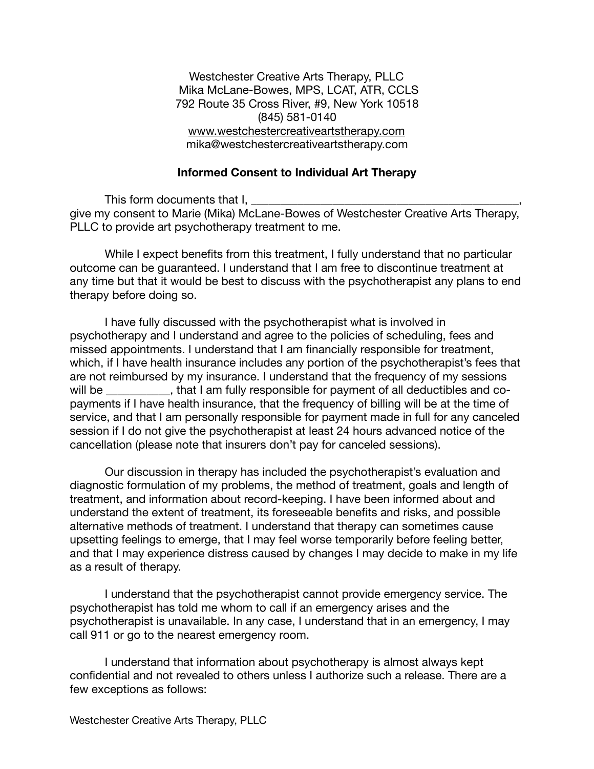Westchester Creative Arts Therapy, PLLC Mika McLane-Bowes, MPS, LCAT, ATR, CCLS 792 Route 35 Cross River, #9, New York 10518 (845) 581-0140 [www.westchestercreativeartstherapy.com](http://www.westchestercreativeartstherapy.com) mika@westchestercreativeartstherapy.com

## **Informed Consent to Individual Art Therapy**

This form documents that I. give my consent to Marie (Mika) McLane-Bowes of Westchester Creative Arts Therapy, PLLC to provide art psychotherapy treatment to me.

While I expect benefits from this treatment, I fully understand that no particular outcome can be guaranteed. I understand that I am free to discontinue treatment at any time but that it would be best to discuss with the psychotherapist any plans to end therapy before doing so.

I have fully discussed with the psychotherapist what is involved in psychotherapy and I understand and agree to the policies of scheduling, fees and missed appointments. I understand that I am financially responsible for treatment, which, if I have health insurance includes any portion of the psychotherapist's fees that are not reimbursed by my insurance. I understand that the frequency of my sessions will be  $\blacksquare$ , that I am fully responsible for payment of all deductibles and copayments if I have health insurance, that the frequency of billing will be at the time of service, and that I am personally responsible for payment made in full for any canceled session if I do not give the psychotherapist at least 24 hours advanced notice of the cancellation (please note that insurers don't pay for canceled sessions).

Our discussion in therapy has included the psychotherapist's evaluation and diagnostic formulation of my problems, the method of treatment, goals and length of treatment, and information about record-keeping. I have been informed about and understand the extent of treatment, its foreseeable benefits and risks, and possible alternative methods of treatment. I understand that therapy can sometimes cause upsetting feelings to emerge, that I may feel worse temporarily before feeling better, and that I may experience distress caused by changes I may decide to make in my life as a result of therapy.

I understand that the psychotherapist cannot provide emergency service. The psychotherapist has told me whom to call if an emergency arises and the psychotherapist is unavailable. In any case, I understand that in an emergency, I may call 911 or go to the nearest emergency room.

I understand that information about psychotherapy is almost always kept confidential and not revealed to others unless I authorize such a release. There are a few exceptions as follows: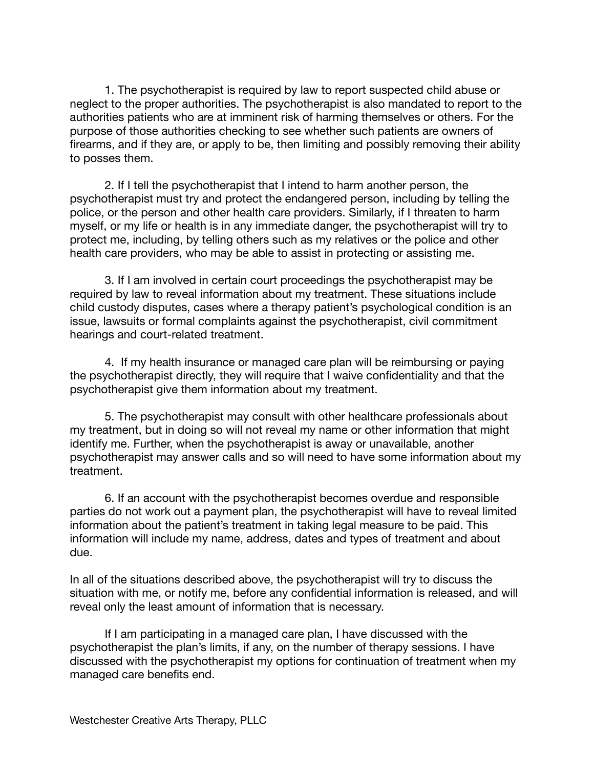1. The psychotherapist is required by law to report suspected child abuse or neglect to the proper authorities. The psychotherapist is also mandated to report to the authorities patients who are at imminent risk of harming themselves or others. For the purpose of those authorities checking to see whether such patients are owners of firearms, and if they are, or apply to be, then limiting and possibly removing their ability to posses them.

2. If I tell the psychotherapist that I intend to harm another person, the psychotherapist must try and protect the endangered person, including by telling the police, or the person and other health care providers. Similarly, if I threaten to harm myself, or my life or health is in any immediate danger, the psychotherapist will try to protect me, including, by telling others such as my relatives or the police and other health care providers, who may be able to assist in protecting or assisting me.

3. If I am involved in certain court proceedings the psychotherapist may be required by law to reveal information about my treatment. These situations include child custody disputes, cases where a therapy patient's psychological condition is an issue, lawsuits or formal complaints against the psychotherapist, civil commitment hearings and court-related treatment.

4. If my health insurance or managed care plan will be reimbursing or paying the psychotherapist directly, they will require that I waive confidentiality and that the psychotherapist give them information about my treatment.

5. The psychotherapist may consult with other healthcare professionals about my treatment, but in doing so will not reveal my name or other information that might identify me. Further, when the psychotherapist is away or unavailable, another psychotherapist may answer calls and so will need to have some information about my treatment.

6. If an account with the psychotherapist becomes overdue and responsible parties do not work out a payment plan, the psychotherapist will have to reveal limited information about the patient's treatment in taking legal measure to be paid. This information will include my name, address, dates and types of treatment and about due.

In all of the situations described above, the psychotherapist will try to discuss the situation with me, or notify me, before any confidential information is released, and will reveal only the least amount of information that is necessary.

If I am participating in a managed care plan, I have discussed with the psychotherapist the plan's limits, if any, on the number of therapy sessions. I have discussed with the psychotherapist my options for continuation of treatment when my managed care benefits end.